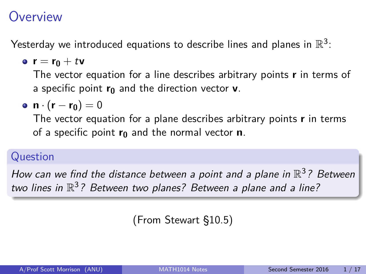## <span id="page-0-0"></span>**Overview**

Yesterday we introduced equations to describe lines and planes in  $\mathbb{R}^3$ :

**e**  $r = r_0 + tv$ 

The vector equation for a line describes arbitrary points **r** in terms of a specific point **r<sup>0</sup>** and the direction vector **v**.

$$
\bullet \ \mathbf{n} \cdot (\mathbf{r} - \mathbf{r_0}) = 0
$$

The vector equation for a plane describes arbitrary points **r** in terms of a specific point **r<sup>0</sup>** and the normal vector **n**.

#### Question

How can we find the distance between a point and a plane in  $\mathbb{R}^3$ ? Between two lines in  $\mathbb{R}^3$ ? Between two planes? Between a plane and a line?

(From Stewart §10.5)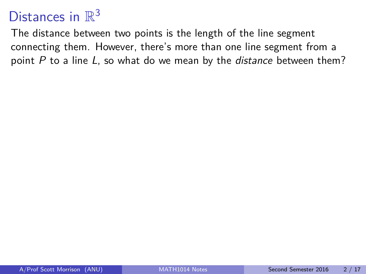The distance between two points is the length of the line segment connecting them. However, there's more than one line segment from a point P to a line L, so what do we mean by the *distance* between them?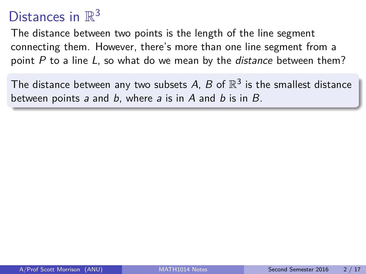The distance between two points is the length of the line segment connecting them. However, there's more than one line segment from a point P to a line L, so what do we mean by the *distance* between them?

The distance between any two subsets A, B of  $\mathbb{R}^3$  is the smallest distance between points a and b, where a is in A and b is in  $B$ .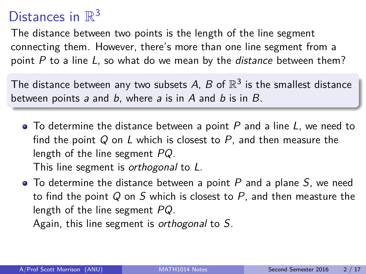The distance between two points is the length of the line segment connecting them. However, there's more than one line segment from a point P to a line L, so what do we mean by the *distance* between them?

The distance between any two subsets A, B of  $\mathbb{R}^3$  is the smallest distance between points a and b, where a is in A and b is in  $B$ .

 $\bullet$  To determine the distance between a point P and a line L, we need to find the point  $Q$  on L which is closest to P, and then measure the length of the line segment PQ.

This line segment is *orthogonal* to L.

 $\bullet$  To determine the distance between a point P and a plane S, we need to find the point  $Q$  on  $S$  which is closest to  $P$ , and then measture the length of the line segment PQ.

Again, this line segment is orthogonal to S.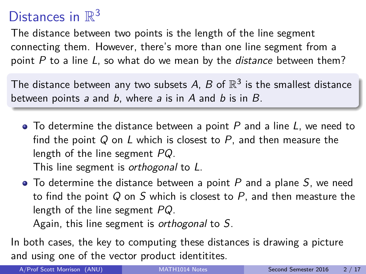The distance between two points is the length of the line segment connecting them. However, there's more than one line segment from a point  $P$  to a line  $L$ , so what do we mean by the *distance* between them?

The distance between any two subsets A, B of  $\mathbb{R}^3$  is the smallest distance between points a and b, where a is in  $A$  and  $b$  is in  $B$ .

 $\bullet$  To determine the distance between a point P and a line L, we need to find the point  $Q$  on L which is closest to P, and then measure the length of the line segment PQ.

This line segment is *orthogonal* to L.

 $\bullet$  To determine the distance between a point P and a plane S, we need to find the point  $Q$  on  $S$  which is closest to  $P$ , and then measture the length of the line segment PQ.

Again, this line segment is orthogonal to S.

In both cases, the key to computing these distances is drawing a picture and using one of the vector product identitites.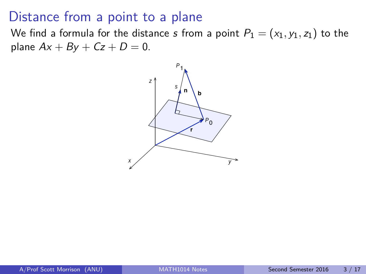### Distance from a point to a plane

We find a formula for the distance s from a point  $P_1 = (x_1, y_1, z_1)$  to the plane  $Ax + By + Cz + D = 0$ .

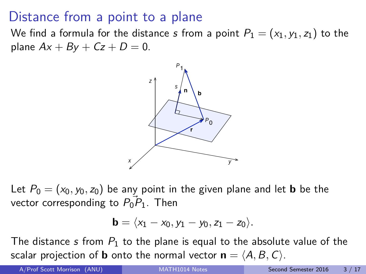## Distance from a point to a plane

We find a formula for the distance s from a point  $P_1 = (x_1, y_1, z_1)$  to the plane  $Ax + By + Cz + D = 0$ .



Let  $P_0 = (x_0, y_0, z_0)$  be any point in the given plane and let **b** be the vector corresponding to  $P_0$  $P_1$ . Then

$$
\textbf{b}=\langle x_1-x_0, y_1-y_0, z_1-z_0\rangle.
$$

The distance s from  $P_1$  to the plane is equal to the absolute value of the scalar projection of **b** onto the normal vector  $\mathbf{n} = \langle A, B, C \rangle$ .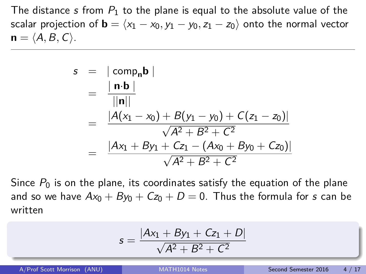The distance s from  $P_1$  to the plane is equal to the absolute value of the scalar projection of **b** =  $\langle x_1 - x_0, y_1 - y_0, z_1 - z_0 \rangle$  onto the normal vector  $\mathbf{n} = \langle A, B, C \rangle$ .

$$
s = |\text{comp}_{n}b|
$$
  
=  $\frac{|\textbf{n} \cdot \textbf{b}|}{||\textbf{n}||}$   
=  $\frac{|A(x_1 - x_0) + B(y_1 - y_0) + C(z_1 - z_0)|}{\sqrt{A^2 + B^2 + C^2}}$   
=  $\frac{|Ax_1 + By_1 + Cz_1 - (Ax_0 + By_0 + Cz_0)|}{\sqrt{A^2 + B^2 + C^2}}$ 

Since  $P_0$  is on the plane, its coordinates satisfy the equation of the plane and so we have  $Ax_0 + By_0 + Cz_0 + D = 0$ . Thus the formula for s can be written

$$
s = \frac{|Ax_1 + By_1 + Cz_1 + D|}{\sqrt{A^2 + B^2 + C^2}}
$$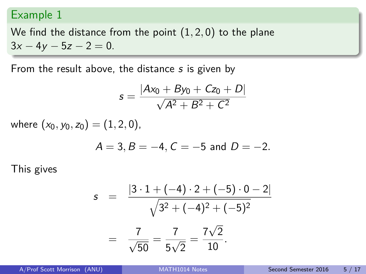#### Example 1

We find the distance from the point (1*,* 2*,* 0) to the plane  $3x - 4y - 5z - 2 = 0$ .

From the result above, the distance s is given by

$$
s = \frac{|Ax_0 + By_0 + Cz_0 + D|}{\sqrt{A^2 + B^2 + C^2}}
$$

where  $(x_0, y_0, z_0) = (1, 2, 0)$ ,

$$
A = 3, B = -4, C = -5
$$
 and  $D = -2$ .

This gives

$$
s = \frac{|3 \cdot 1 + (-4) \cdot 2 + (-5) \cdot 0 - 2|}{\sqrt{3^2 + (-4)^2 + (-5)^2}}
$$

$$
= \frac{7}{\sqrt{50}} = \frac{7}{5\sqrt{2}} = \frac{7\sqrt{2}}{10}.
$$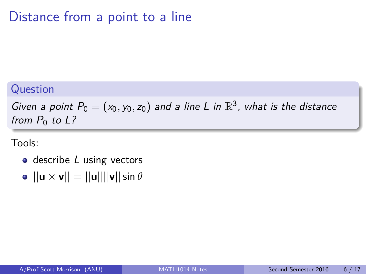## Distance from a point to a line

#### Question

Given a point  $P_0 = (x_0, y_0, z_0)$  and a line L in  $\mathbb{R}^3$ , what is the distance from  $P_0$  to L?

Tools:

- $\bullet$  describe  $L$  using vectors
- $\bullet$   $||\mathbf{u} \times \mathbf{v}|| = ||\mathbf{u}|| ||\mathbf{v}|| \sin \theta$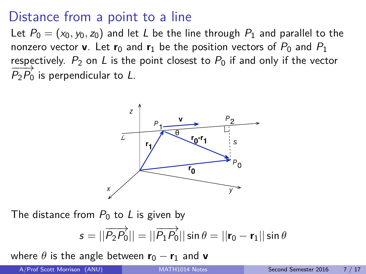## Distance from a point to a line

Let  $P_0 = (x_0, y_0, z_0)$  and let L be the line through  $P_1$  and parallel to the nonzero vector **v**. Let  $\mathbf{r}_0$  and  $\mathbf{r}_1$  be the position vectors of  $P_0$  and  $P_1$ respectively.  $P_2$  on L is the point closest to  $P_0$  if and only if the vector  $P_2\overline{P_0}$  is perpendicular to L.



The distance from  $P_0$  to L is given by

$$
s = ||\overrightarrow{P_2P_0}|| = ||\overrightarrow{P_1P_0}|| \sin \theta = ||\mathbf{r}_0 - \mathbf{r}_1|| \sin \theta
$$

where  $\theta$  is the angle between  $\mathbf{r}_0 - \mathbf{r}_1$  and  $\mathbf{v}$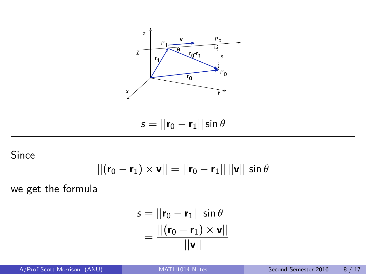

 $s = ||\mathbf{r}_0 - \mathbf{r}_1|| \sin \theta$ 

Since

$$
||(\mathbf{r}_0-\mathbf{r}_1)\times\mathbf{v}||=||\mathbf{r}_0-\mathbf{r}_1||\,||\mathbf{v}||\,\sin\theta
$$

we get the formula

$$
s = ||\mathbf{r}_0 - \mathbf{r}_1|| \sin \theta
$$
  
= 
$$
\frac{||(\mathbf{r}_0 - \mathbf{r}_1) \times \mathbf{v}||}{||\mathbf{v}||}
$$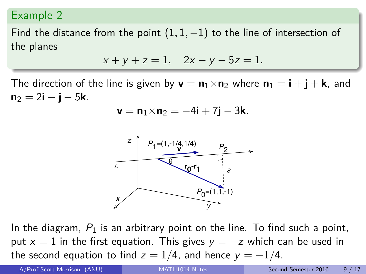#### Example 2

Find the distance from the point  $(1, 1, -1)$  to the line of intersection of the planes

$$
x + y + z = 1
$$
,  $2x - y - 5z = 1$ .

The direction of the line is given by  $\mathbf{v} = \mathbf{n}_1 \times \mathbf{n}_2$  where  $\mathbf{n}_1 = \mathbf{i} + \mathbf{j} + \mathbf{k}$ , and  $n_2 = 2i - j - 5k$ .

$$
\mathbf{v} = \mathbf{n}_1 \times \mathbf{n}_2 = -4\mathbf{i} + 7\mathbf{j} - 3\mathbf{k}.
$$



In the diagram,  $P_1$  is an arbitrary point on the line. To find such a point, put  $x = 1$  in the first equation. This gives  $y = -z$  which can be used in the second equation to find  $z = 1/4$ , and hence  $y = -1/4$ .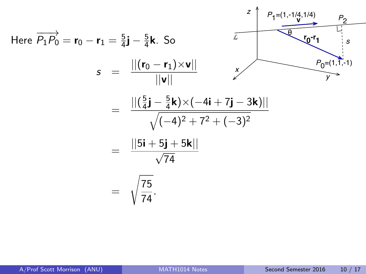Here 
$$
\overrightarrow{P_1P_0} = \mathbf{r}_0 - \mathbf{r}_1 = \frac{5}{4}\mathbf{j} - \frac{5}{4}\mathbf{k}
$$
. So  
\n
$$
s = \frac{||( \mathbf{r}_0 - \mathbf{r}_1) \times \mathbf{v} ||}{|| \mathbf{v} ||}
$$
\n
$$
= \frac{||( \frac{5}{4}\mathbf{j} - \frac{5}{4}\mathbf{k}) \times (-4\mathbf{i} + 7\mathbf{j} - 3\mathbf{k})||}{\sqrt{(-4)^2 + 7^2 + (-3)^2}}
$$
\n
$$
= \frac{|| 5\mathbf{i} + 5\mathbf{j} + 5\mathbf{k} ||}{\sqrt{74}}
$$
\n
$$
= \sqrt{\frac{75}{74}}.
$$

÷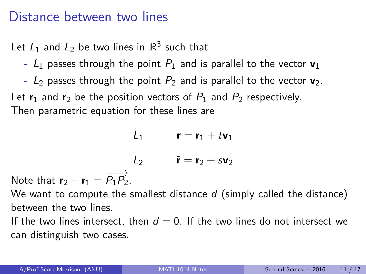### Distance between two lines

Let  $L_1$  and  $L_2$  be two lines in  $\mathbb{R}^3$  such that

- $-L_1$  passes through the point  $P_1$  and is parallel to the vector  $v_1$
- $-$  L<sub>2</sub> passes through the point  $P_2$  and is parallel to the vector  $\mathbf{v}_2$ .

Let  $\mathbf{r}_1$  and  $\mathbf{r}_2$  be the position vectors of  $P_1$  and  $P_2$  respectively. Then parametric equation for these lines are

 $L_1$  **r** = **r**<sub>1</sub> + t**v**<sub>1</sub>

L<sub>2</sub>  $\tilde{\mathbf{r}} = \mathbf{r}_2 + s\mathbf{v}_2$ 

Note that  $\mathbf{r}_2 - \mathbf{r}_1 = \overrightarrow{P_1 P_2}$ .

We want to compute the smallest distance  $d$  (simply called the distance) between the two lines.

If the two lines intersect, then  $d = 0$ . If the two lines do not intersect we can distinguish two cases.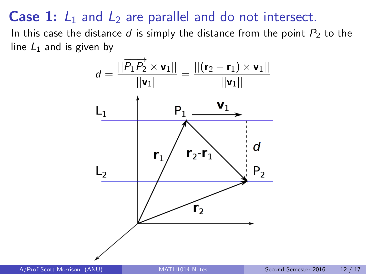### **Case 1:**  $L_1$  and  $L_2$  are parallel and do not intersect.

In this case the distance d is simply the distance from the point  $P_2$  to the line  $L_1$  and is given by

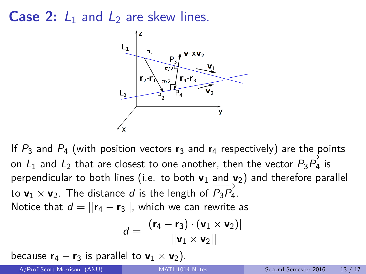**Case 2:**  $L_1$  and  $L_2$  are skew lines.



If  $P_3$  and  $P_4$  (with position vectors  $r_3$  and  $r_4$  respectively) are the points on  $L_1$  and  $L_2$  that are closest to one another, then the vector  $\overline{P_3P_4}$  is perpendicular to both lines (i.e. to both **v**<sub>1</sub> and **v**<sub>2</sub>) and therefore parallel to **v**<sub>1</sub> × **v**<sub>2</sub>. The distance *d* is the length of  $\overrightarrow{P_3P_4}$ . Notice that  $d = ||\mathbf{r}_4 - \mathbf{r}_3||$ , which we can rewrite as

$$
d = \frac{|(\mathbf{r}_4 - \mathbf{r}_3) \cdot (\mathbf{v}_1 \times \mathbf{v}_2)|}{||\mathbf{v}_1 \times \mathbf{v}_2||}
$$

because  $\mathbf{r}_4 - \mathbf{r}_3$  is parallel to  $\mathbf{v}_1 \times \mathbf{v}_2$ ).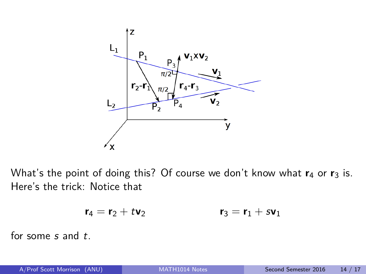

What's the point of doing this? Of course we don't know what  $r_4$  or  $r_3$  is. Here's the trick: Notice that

$$
\mathbf{r}_4 = \mathbf{r}_2 + t \mathbf{v}_2 \qquad \qquad \mathbf{r}_3 = \mathbf{r}_1 + s \mathbf{v}_1
$$

for some s and t.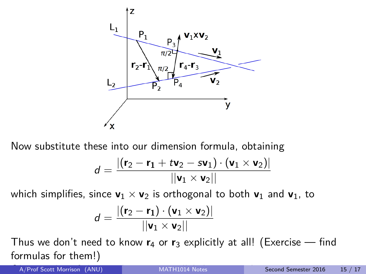

Now substitute these into our dimension formula, obtaining

$$
d = \frac{|(\mathbf{r}_2 - \mathbf{r}_1 + t \mathbf{v}_2 - s \mathbf{v}_1) \cdot (\mathbf{v}_1 \times \mathbf{v}_2)|}{||\mathbf{v}_1 \times \mathbf{v}_2||}
$$

which simplifies, since  $v_1 \times v_2$  is orthogonal to both  $v_1$  and  $v_1$ , to

$$
d = \frac{|(\mathbf{r}_2 - \mathbf{r}_1) \cdot (\mathbf{v}_1 \times \mathbf{v}_2)|}{||\mathbf{v}_1 \times \mathbf{v}_2||}
$$

Thus we don't need to know **r**<sup>4</sup> or **r**<sup>3</sup> explicitly at all! (Exercise — find formulas for them!)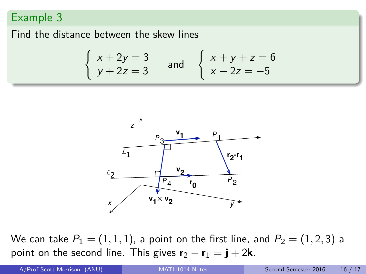#### Example 3

Find the distance between the skew lines

$$
\begin{cases}\n x + 2y = 3 \\
y + 2z = 3\n\end{cases}
$$
 and 
$$
\begin{cases}\n x + y + z = 6 \\
x - 2z = -5\n\end{cases}
$$



We can take  $P_1 = (1, 1, 1)$ , a point on the first line, and  $P_2 = (1, 2, 3)$  a point on the second line. This gives  $\mathbf{r}_2 - \mathbf{r}_1 = \mathbf{i} + 2\mathbf{k}$ .